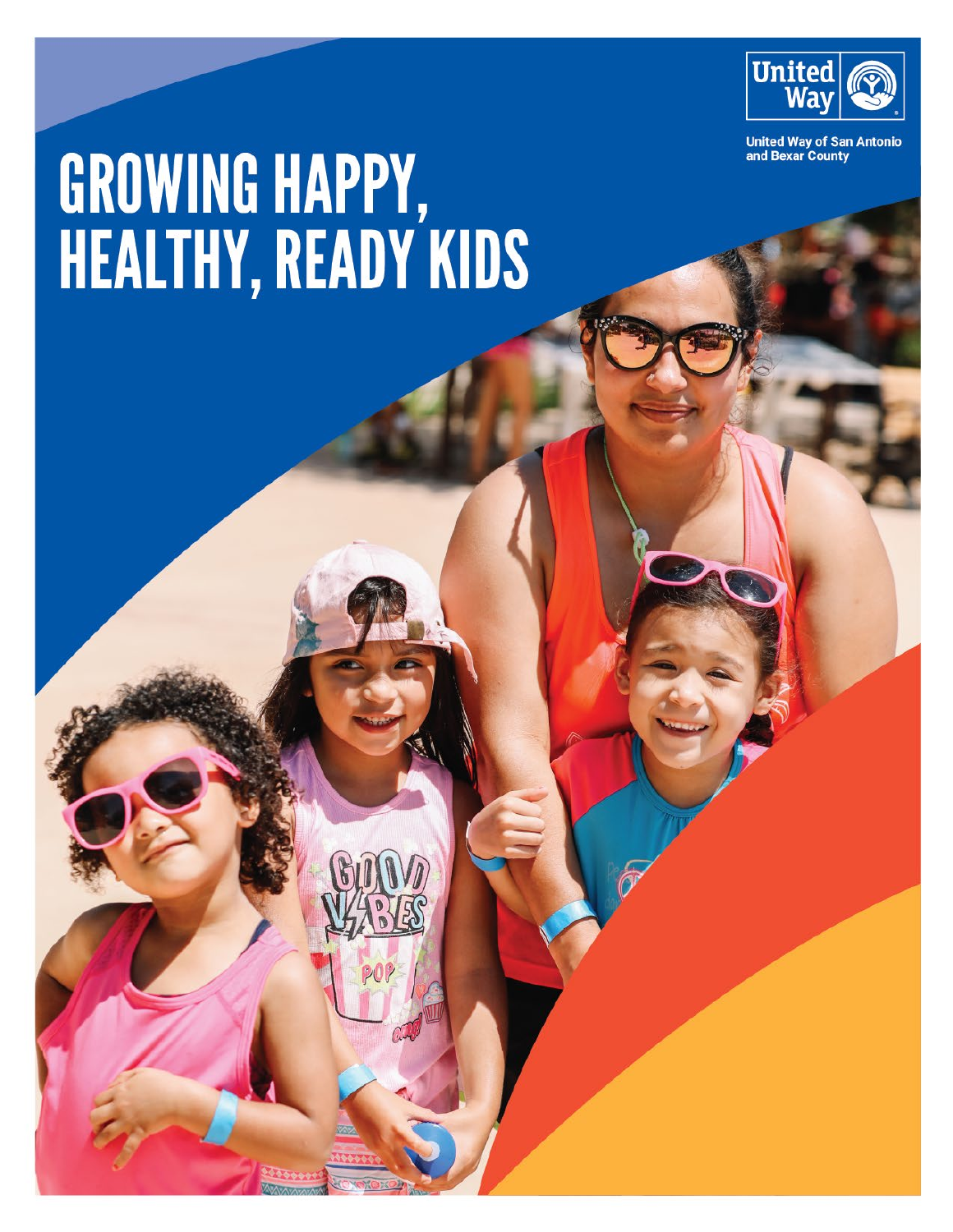

**United Way of San Antonio<br>and Bexar County** 

# GROWING HAPPY,<br>HEALTHY, READY KIDS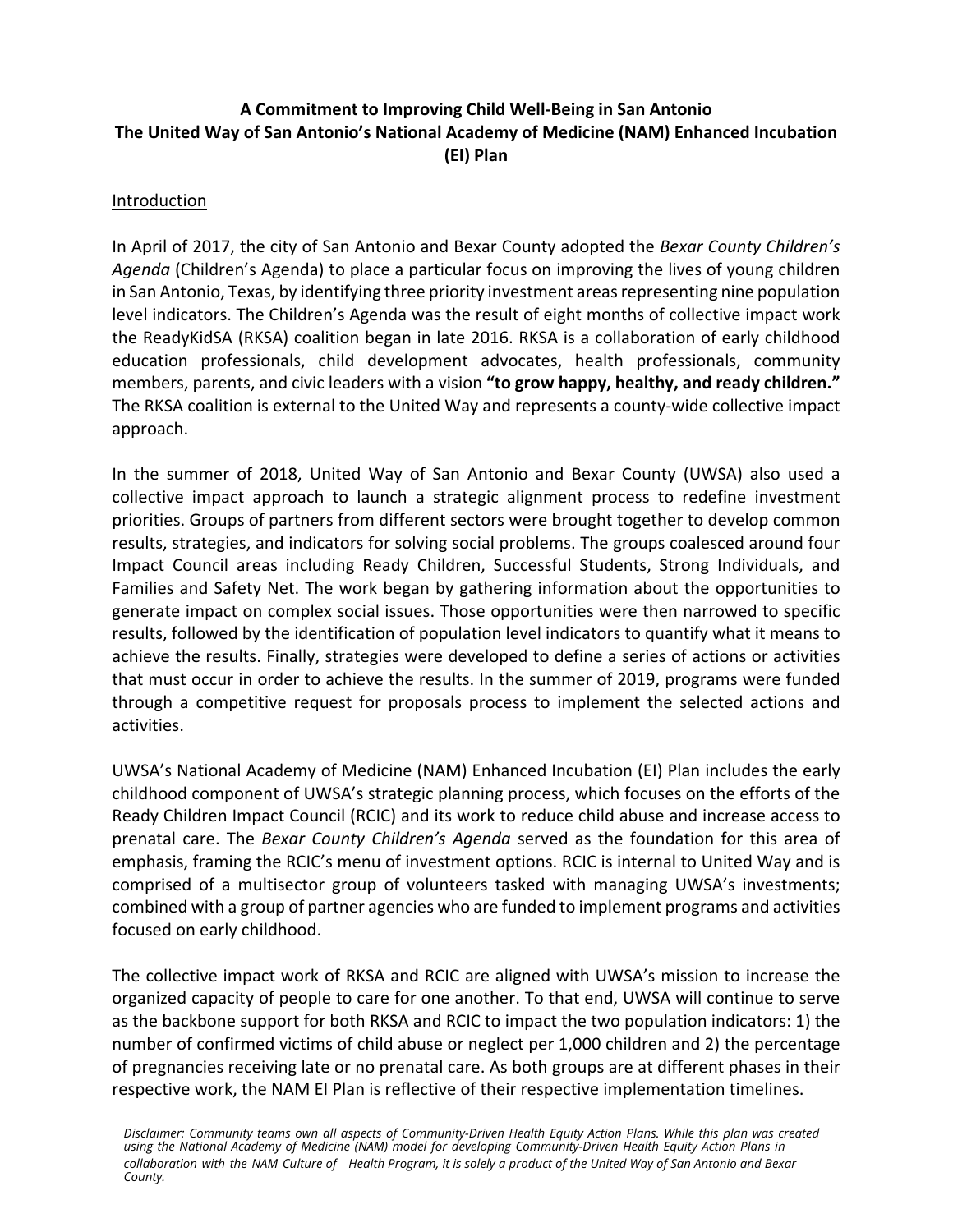# **A Commitment to Improving Child Well-Being in San Antonio The United Way of San Antonio's National Academy of Medicine (NAM) Enhanced Incubation (EI) Plan**

## Introduction

In April of 2017, the city of San Antonio and Bexar County adopted the *Bexar County Children's Agenda* (Children's Agenda) to place a particular focus on improving the lives of young children in San Antonio, Texas, by identifying three priority investment areas representing nine population level indicators. The Children's Agenda was the result of eight months of collective impact work the ReadyKidSA (RKSA) coalition began in late 2016. RKSA is a collaboration of early childhood education professionals, child development advocates, health professionals, community members, parents, and civic leaders with a vision **"to grow happy, healthy, and ready children."** The RKSA coalition is external to the United Way and represents a county-wide collective impact approach.

In the summer of 2018, United Way of San Antonio and Bexar County (UWSA) also used a collective impact approach to launch a strategic alignment process to redefine investment priorities. Groups of partners from different sectors were brought together to develop common results, strategies, and indicators for solving social problems. The groups coalesced around four Impact Council areas including Ready Children, Successful Students, Strong Individuals, and Families and Safety Net. The work began by gathering information about the opportunities to generate impact on complex social issues. Those opportunities were then narrowed to specific results, followed by the identification of population level indicators to quantify what it means to achieve the results. Finally, strategies were developed to define a series of actions or activities that must occur in order to achieve the results. In the summer of 2019, programs were funded through a competitive request for proposals process to implement the selected actions and activities.

UWSA's National Academy of Medicine (NAM) Enhanced Incubation (EI) Plan includes the early childhood component of UWSA's strategic planning process, which focuses on the efforts of the Ready Children Impact Council (RCIC) and its work to reduce child abuse and increase access to prenatal care. The *Bexar County Children's Agenda* served as the foundation for this area of emphasis, framing the RCIC's menu of investment options. RCIC is internal to United Way and is comprised of a multisector group of volunteers tasked with managing UWSA's investments; combined with a group of partner agencies who are funded to implement programs and activities focused on early childhood.

The collective impact work of RKSA and RCIC are aligned with UWSA's mission to increase the organized capacity of people to care for one another. To that end, UWSA will continue to serve as the backbone support for both RKSA and RCIC to impact the two population indicators: 1) the number of confirmed victims of child abuse or neglect per 1,000 children and 2) the percentage of pregnancies receiving late or no prenatal care. As both groups are at different phases in their respective work, the NAM EI Plan is reflective of their respective implementation timelines.

Disclaimer: Community teams own all aspects of Community-Driven Health Equity Action Plans. While this plan was created<br>using the National Academy of Medicine (NAM) model for developing Community-Driven Health Equity Actio *collaboration with the NAM Culture of Health Program, it is solely a product of the United Way of San Antonio and Bexar County.*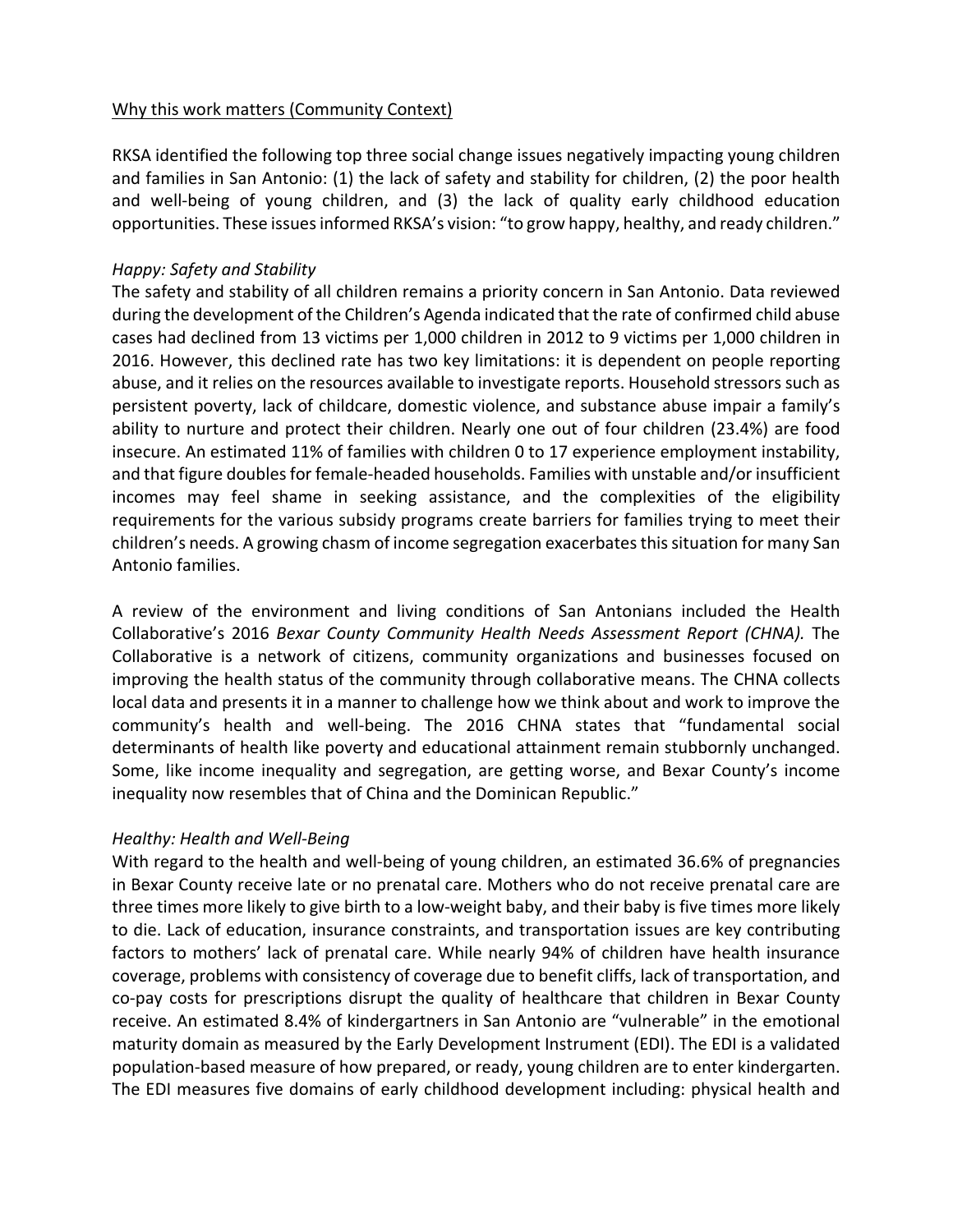## Why this work matters (Community Context)

RKSA identified the following top three social change issues negatively impacting young children and families in San Antonio: (1) the lack of safety and stability for children, (2) the poor health and well-being of young children, and (3) the lack of quality early childhood education opportunities. These issues informed RKSA's vision: "to grow happy, healthy, and ready children."

## *Happy: Safety and Stability*

The safety and stability of all children remains a priority concern in San Antonio. Data reviewed during the development of the Children's Agenda indicated that the rate of confirmed child abuse cases had declined from 13 victims per 1,000 children in 2012 to 9 victims per 1,000 children in 2016. However, this declined rate has two key limitations: it is dependent on people reporting abuse, and it relies on the resources available to investigate reports. Household stressors such as persistent poverty, lack of childcare, domestic violence, and substance abuse impair a family's ability to nurture and protect their children. Nearly one out of four children (23.4%) are food insecure. An estimated 11% of families with children 0 to 17 experience employment instability, and that figure doubles for female-headed households. Families with unstable and/or insufficient incomes may feel shame in seeking assistance, and the complexities of the eligibility requirements for the various subsidy programs create barriers for families trying to meet their children's needs. A growing chasm of income segregation exacerbates this situation for many San Antonio families.

A review of the environment and living conditions of San Antonians included the Health Collaborative's 2016 *Bexar County Community Health Needs Assessment Report (CHNA).* The Collaborative is a network of citizens, community organizations and businesses focused on improving the health status of the community through collaborative means. The CHNA collects local data and presents it in a manner to challenge how we think about and work to improve the community's health and well-being. The 2016 CHNA states that "fundamental social determinants of health like poverty and educational attainment remain stubbornly unchanged. Some, like income inequality and segregation, are getting worse, and Bexar County's income inequality now resembles that of China and the Dominican Republic."

## *Healthy: Health and Well-Being*

With regard to the health and well-being of young children, an estimated 36.6% of pregnancies in Bexar County receive late or no prenatal care. Mothers who do not receive prenatal care are three times more likely to give birth to a low-weight baby, and their baby is five times more likely to die. Lack of education, insurance constraints, and transportation issues are key contributing factors to mothers' lack of prenatal care. While nearly 94% of children have health insurance coverage, problems with consistency of coverage due to benefit cliffs, lack of transportation, and co-pay costs for prescriptions disrupt the quality of healthcare that children in Bexar County receive. An estimated 8.4% of kindergartners in San Antonio are "vulnerable" in the emotional maturity domain as measured by the Early Development Instrument (EDI). The EDI is a validated population-based measure of how prepared, or ready, young children are to enter kindergarten. The EDI measures five domains of early childhood development including: physical health and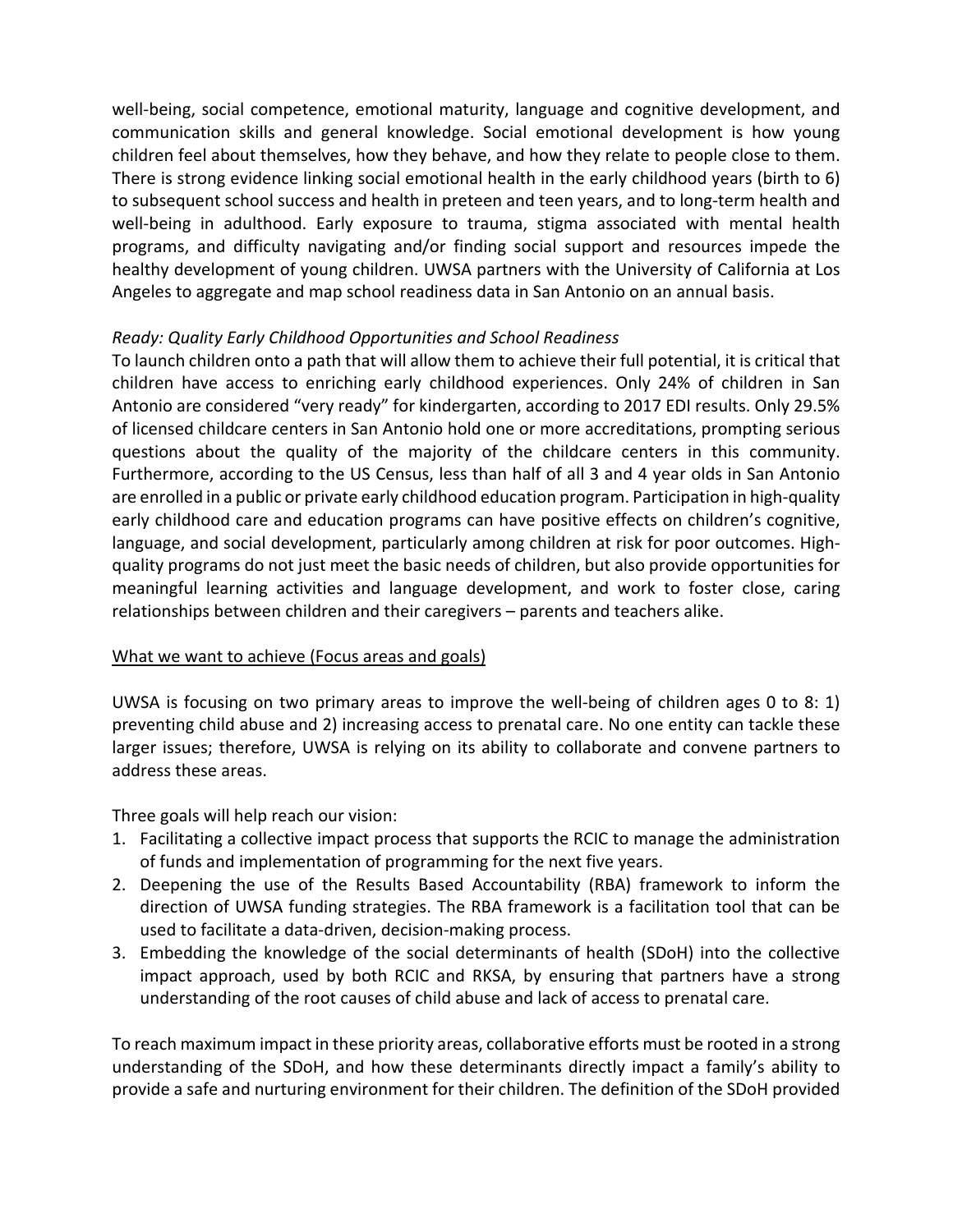well-being, social competence, emotional maturity, language and cognitive development, and communication skills and general knowledge. Social emotional development is how young children feel about themselves, how they behave, and how they relate to people close to them. There is strong evidence linking social emotional health in the early childhood years (birth to 6) to subsequent school success and health in preteen and teen years, and to long-term health and well-being in adulthood. Early exposure to trauma, stigma associated with mental health programs, and difficulty navigating and/or finding social support and resources impede the healthy development of young children. UWSA partners with the University of California at Los Angeles to aggregate and map school readiness data in San Antonio on an annual basis.

## *Ready: Quality Early Childhood Opportunities and School Readiness*

To launch children onto a path that will allow them to achieve their full potential, it is critical that children have access to enriching early childhood experiences. Only 24% of children in San Antonio are considered "very ready" for kindergarten, according to 2017 EDI results. Only 29.5% of licensed childcare centers in San Antonio hold one or more accreditations, prompting serious questions about the quality of the majority of the childcare centers in this community. Furthermore, according to the US Census, less than half of all 3 and 4 year olds in San Antonio are enrolled in a public or private early childhood education program. Participation in high-quality early childhood care and education programs can have positive effects on children's cognitive, language, and social development, particularly among children at risk for poor outcomes. Highquality programs do not just meet the basic needs of children, but also provide opportunities for meaningful learning activities and language development, and work to foster close, caring relationships between children and their caregivers – parents and teachers alike.

#### What we want to achieve (Focus areas and goals)

UWSA is focusing on two primary areas to improve the well-being of children ages 0 to 8: 1) preventing child abuse and 2) increasing access to prenatal care. No one entity can tackle these larger issues; therefore, UWSA is relying on its ability to collaborate and convene partners to address these areas.

Three goals will help reach our vision:

- 1. Facilitating a collective impact process that supports the RCIC to manage the administration of funds and implementation of programming for the next five years.
- 2. Deepening the use of the Results Based Accountability (RBA) framework to inform the direction of UWSA funding strategies. The RBA framework is a facilitation tool that can be used to facilitate a data-driven, decision-making process.
- 3. Embedding the knowledge of the social determinants of health (SDoH) into the collective impact approach, used by both RCIC and RKSA, by ensuring that partners have a strong understanding of the root causes of child abuse and lack of access to prenatal care.

To reach maximum impact in these priority areas, collaborative efforts must be rooted in a strong understanding of the SDoH, and how these determinants directly impact a family's ability to provide a safe and nurturing environment for their children. The definition of the SDoH provided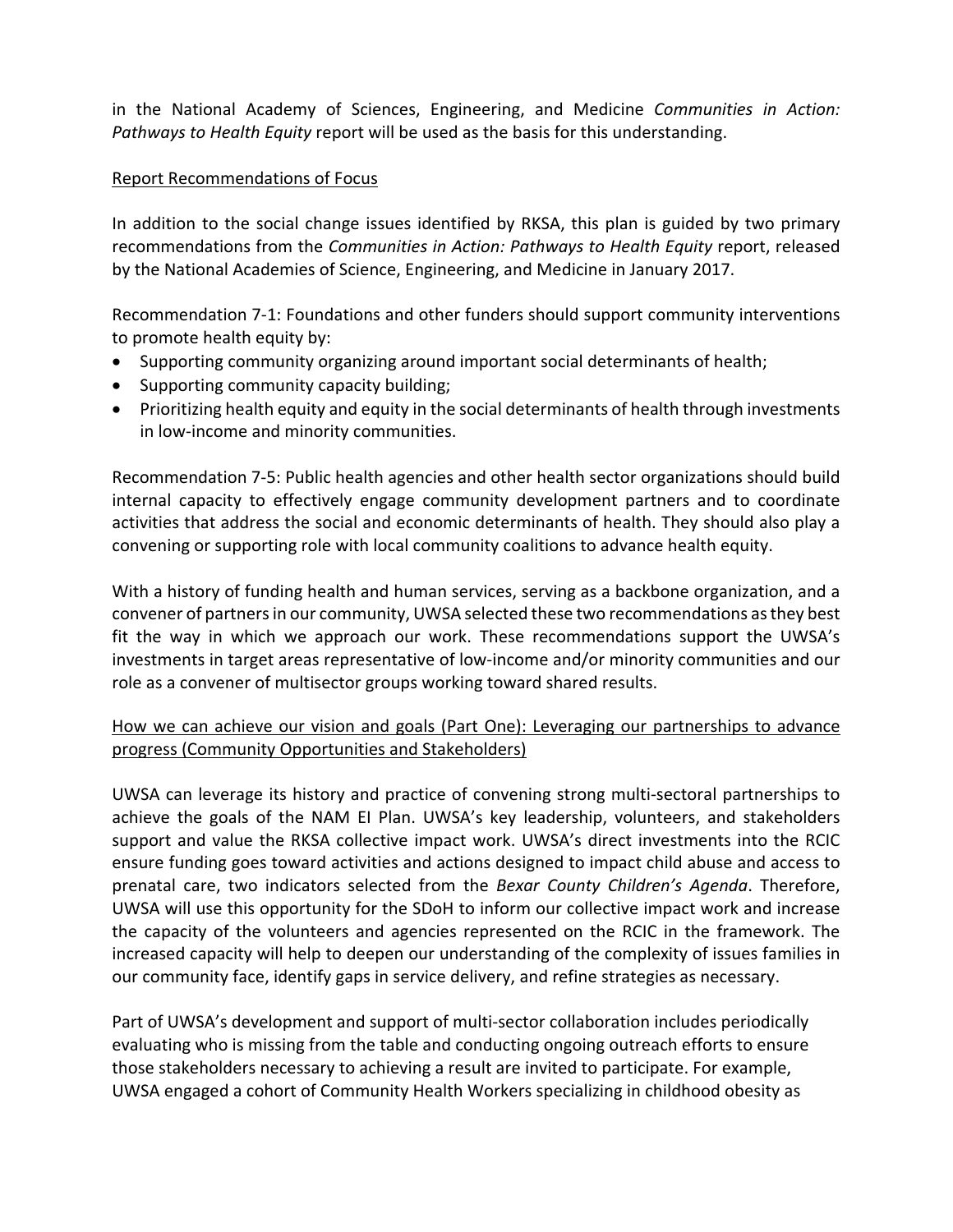in the National Academy of Sciences, Engineering, and Medicine *Communities in Action: Pathways to Health Equity* report will be used as the basis for this understanding.

## Report Recommendations of Focus

In addition to the social change issues identified by RKSA, this plan is guided by two primary recommendations from the *Communities in Action: Pathways to Health Equity* report, released by the National Academies of Science, Engineering, and Medicine in January 2017.

Recommendation 7-1: Foundations and other funders should support community interventions to promote health equity by:

- Supporting community organizing around important social determinants of health;
- Supporting community capacity building;
- Prioritizing health equity and equity in the social determinants of health through investments in low-income and minority communities.

[Recommendation 7-5:](https://www.nap.edu/read/24624/chapter/2) Public health agencies and other health sector organizations should build internal capacity to effectively engage community development partners and to coordinate activities that address the social and economic determinants of health. They should also play a convening or supporting role with local community coalitions to advance health equity.

With a history of funding health and human services, serving as a backbone organization, and a convener of partners in our community, UWSA selected these two recommendations as they best fit the way in which we approach our work. These recommendations support the UWSA's investments in target areas representative of low-income and/or minority communities and our role as a convener of multisector groups working toward shared results.

## How we can achieve our vision and goals (Part One): Leveraging our partnerships to advance progress (Community Opportunities and Stakeholders)

UWSA can leverage its history and practice of convening strong multi-sectoral partnerships to achieve the goals of the NAM EI Plan. UWSA's key leadership, volunteers, and stakeholders support and value the RKSA collective impact work. UWSA's direct investments into the RCIC ensure funding goes toward activities and actions designed to impact child abuse and access to prenatal care, two indicators selected from the *Bexar County Children's Agenda*. Therefore, UWSA will use this opportunity for the SDoH to inform our collective impact work and increase the capacity of the volunteers and agencies represented on the RCIC in the framework. The increased capacity will help to deepen our understanding of the complexity of issues families in our community face, identify gaps in service delivery, and refine strategies as necessary.

Part of UWSA's development and support of multi-sector collaboration includes periodically evaluating who is missing from the table and conducting ongoing outreach efforts to ensure those stakeholders necessary to achieving a result are invited to participate. For example, UWSA engaged a cohort of Community Health Workers specializing in childhood obesity as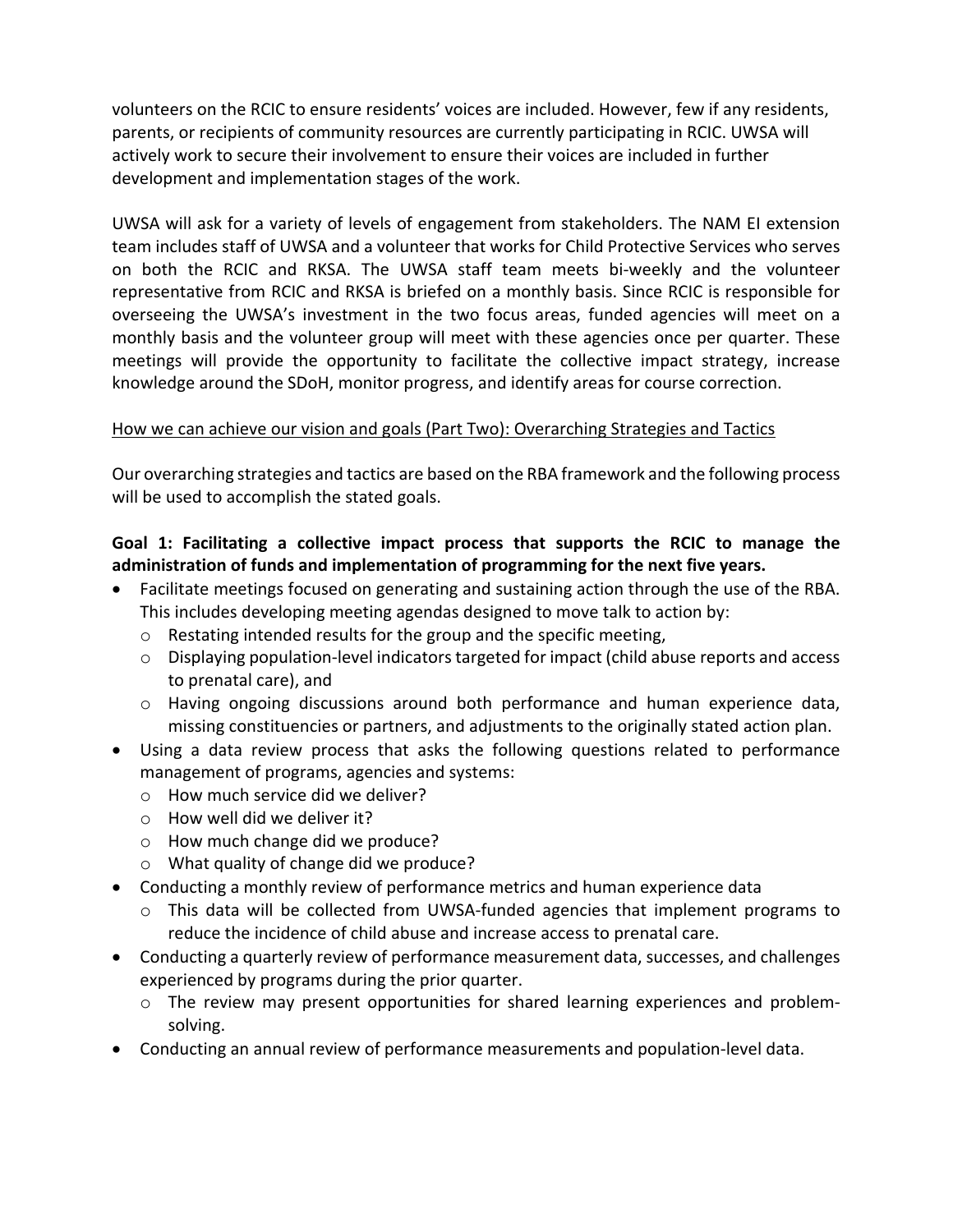volunteers on the RCIC to ensure residents' voices are included. However, few if any residents, parents, or recipients of community resources are currently participating in RCIC. UWSA will actively work to secure their involvement to ensure their voices are included in further development and implementation stages of the work.

UWSA will ask for a variety of levels of engagement from stakeholders. The NAM EI extension team includes staff of UWSA and a volunteer that works for Child Protective Services who serves on both the RCIC and RKSA. The UWSA staff team meets bi-weekly and the volunteer representative from RCIC and RKSA is briefed on a monthly basis. Since RCIC is responsible for overseeing the UWSA's investment in the two focus areas, funded agencies will meet on a monthly basis and the volunteer group will meet with these agencies once per quarter. These meetings will provide the opportunity to facilitate the collective impact strategy, increase knowledge around the SDoH, monitor progress, and identify areas for course correction.

## How we can achieve our vision and goals (Part Two): Overarching Strategies and Tactics

Our overarching strategies and tactics are based on the RBA framework and the following process will be used to accomplish the stated goals.

# **Goal 1: Facilitating a collective impact process that supports the RCIC to manage the administration of funds and implementation of programming for the next five years.**

- Facilitate meetings focused on generating and sustaining action through the use of the RBA. This includes developing meeting agendas designed to move talk to action by:
	- o Restating intended results for the group and the specific meeting,
	- o Displaying population-level indicators targeted for impact (child abuse reports and access to prenatal care), and
	- $\circ$  Having ongoing discussions around both performance and human experience data, missing constituencies or partners, and adjustments to the originally stated action plan.
- Using a data review process that asks the following questions related to performance management of programs, agencies and systems:
	- o How much service did we deliver?
	- o How well did we deliver it?
	- o How much change did we produce?
	- o What quality of change did we produce?
- Conducting a monthly review of performance metrics and human experience data
	- $\circ$  This data will be collected from UWSA-funded agencies that implement programs to reduce the incidence of child abuse and increase access to prenatal care.
- Conducting a quarterly review of performance measurement data, successes, and challenges experienced by programs during the prior quarter.
	- $\circ$  The review may present opportunities for shared learning experiences and problemsolving.
- Conducting an annual review of performance measurements and population-level data.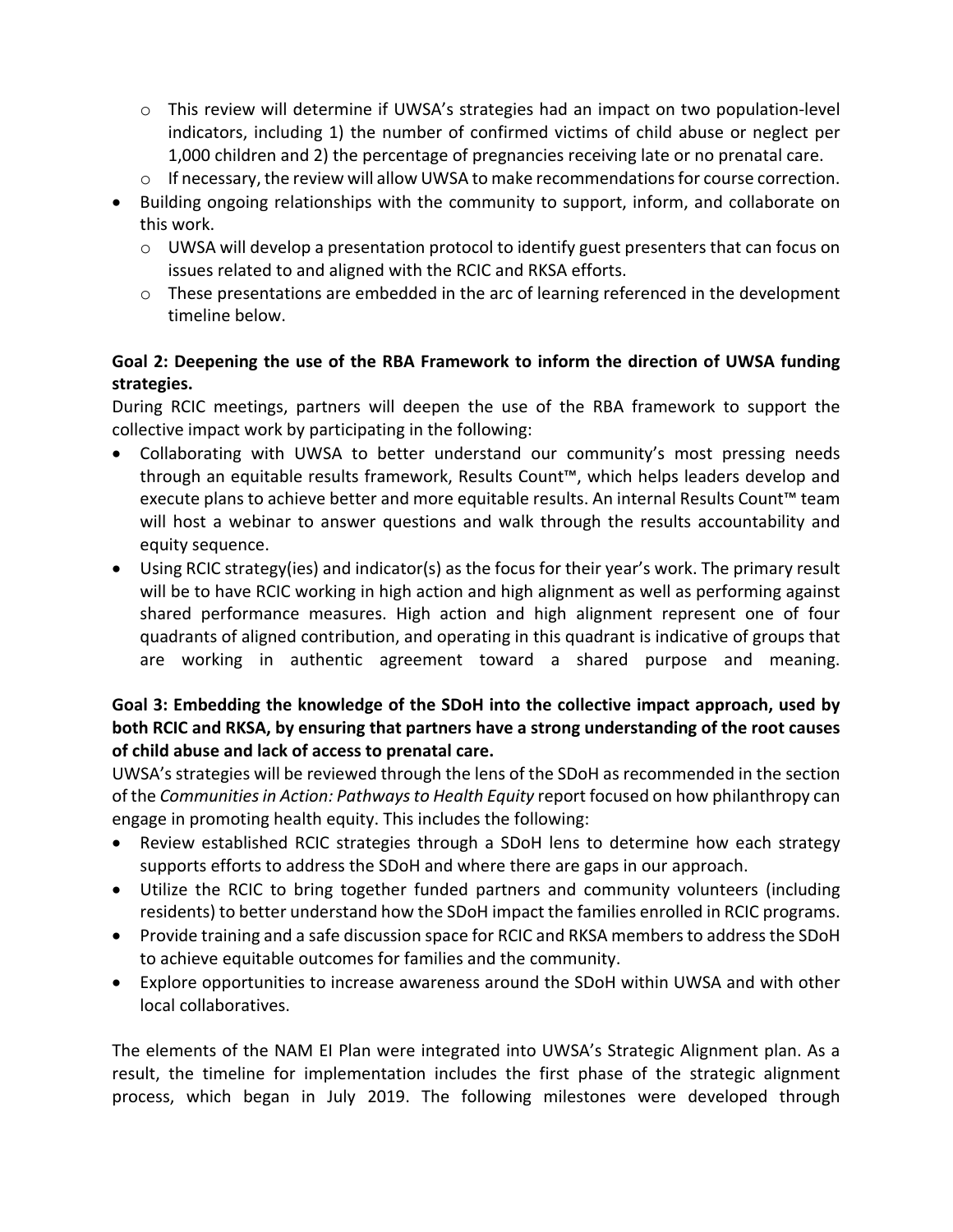- o This review will determine if UWSA's strategies had an impact on two population-level indicators, including 1) the number of confirmed victims of child abuse or neglect per 1,000 children and 2) the percentage of pregnancies receiving late or no prenatal care.
- o If necessary, the review will allow UWSA to make recommendations for course correction.
- Building ongoing relationships with the community to support, inform, and collaborate on this work.
	- o UWSA will develop a presentation protocol to identify guest presenters that can focus on issues related to and aligned with the RCIC and RKSA efforts.
	- o These presentations are embedded in the arc of learning referenced in the development timeline below.

# **Goal 2: Deepening the use of the RBA Framework to inform the direction of UWSA funding strategies.**

During RCIC meetings, partners will deepen the use of the RBA framework to support the collective impact work by participating in the following:

- Collaborating with UWSA to better understand our community's most pressing needs through an equitable results framework, Results Count™, which helps leaders develop and execute plans to achieve better and more equitable results. An internal Results Count™ team will host a webinar to answer questions and walk through the results accountability and equity sequence.
- Using RCIC strategy(ies) and indicator(s) as the focus for their year's work. The primary result will be to have RCIC working in high action and high alignment as well as performing against shared performance measures. High action and high alignment represent one of four quadrants of aligned contribution, and operating in this quadrant is indicative of groups that are working in authentic agreement toward a shared purpose and meaning.

# **Goal 3: Embedding the knowledge of the SDoH into the collective impact approach, used by both RCIC and RKSA, by ensuring that partners have a strong understanding of the root causes of child abuse and lack of access to prenatal care.**

UWSA's strategies will be reviewed through the lens of the SDoH as recommended in the section of the *Communities in Action: Pathways to Health Equity* report focused on how philanthropy can engage in promoting health equity. This includes the following:

- Review established RCIC strategies through a SDoH lens to determine how each strategy supports efforts to address the SDoH and where there are gaps in our approach.
- Utilize the RCIC to bring together funded partners and community volunteers (including residents) to better understand how the SDoH impact the families enrolled in RCIC programs.
- Provide training and a safe discussion space for RCIC and RKSA members to address the SDoH to achieve equitable outcomes for families and the community.
- Explore opportunities to increase awareness around the SDoH within UWSA and with other local collaboratives.

The elements of the NAM EI Plan were integrated into UWSA's Strategic Alignment plan. As a result, the timeline for implementation includes the first phase of the strategic alignment process, which began in July 2019. The following milestones were developed through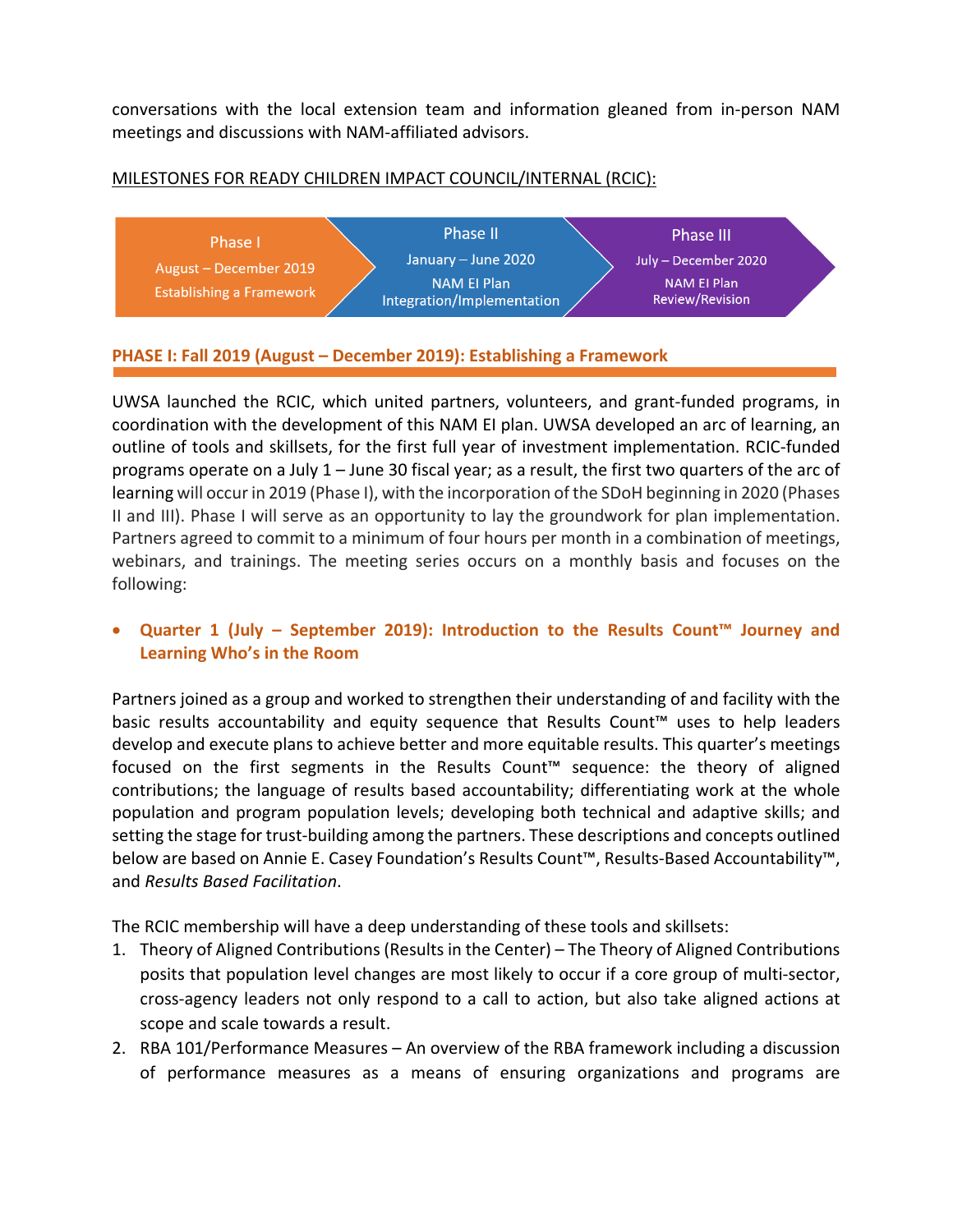conversations with the local extension team and information gleaned from in-person NAM meetings and discussions with NAM-affiliated advisors.

#### MILESTONES FOR READY CHILDREN IMPACT COUNCIL/INTERNAL (RCIC):



## **PHASE I: Fall 2019 (August – December 2019): Establishing a Framework**

UWSA launched the RCIC, which united partners, volunteers, and grant-funded programs, in coordination with the development of this NAM EI plan. UWSA developed an arc of learning, an outline of tools and skillsets, for the first full year of investment implementation. RCIC-funded programs operate on a July 1 – June 30 fiscal year; as a result, the first two quarters of the arc of learning will occur in 2019 (Phase I), with the incorporation of the SDoH beginning in 2020 (Phases II and III). Phase I will serve as an opportunity to lay the groundwork for plan implementation. Partners agreed to commit to a minimum of four hours per month in a combination of meetings, webinars, and trainings. The meeting series occurs on a monthly basis and focuses on the following:

## • **Quarter 1 (July – September 2019): Introduction to the Results Count™ Journey and Learning Who's in the Room**

Partners joined as a group and worked to strengthen their understanding of and facility with the basic results accountability and equity sequence that Results Count™ uses to help leaders develop and execute plans to achieve better and more equitable results. This quarter's meetings focused on the first segments in the Results Count™ sequence: the theory of aligned contributions; the language of results based accountability; differentiating work at the whole population and program population levels; developing both technical and adaptive skills; and setting the stage for trust-building among the partners. These descriptions and concepts outlined below are based on Annie E. Casey Foundation's Results Count™, Results-Based Accountability™, and *Results Based Facilitation*.

The RCIC membership will have a deep understanding of these tools and skillsets:

- 1. Theory of Aligned Contributions (Results in the Center) The Theory of Aligned Contributions posits that population level changes are most likely to occur if a core group of multi-sector, cross-agency leaders not only respond to a call to action, but also take aligned actions at scope and scale towards a result.
- 2. RBA 101/Performance Measures An overview of the RBA framework including a discussion of performance measures as a means of ensuring organizations and programs are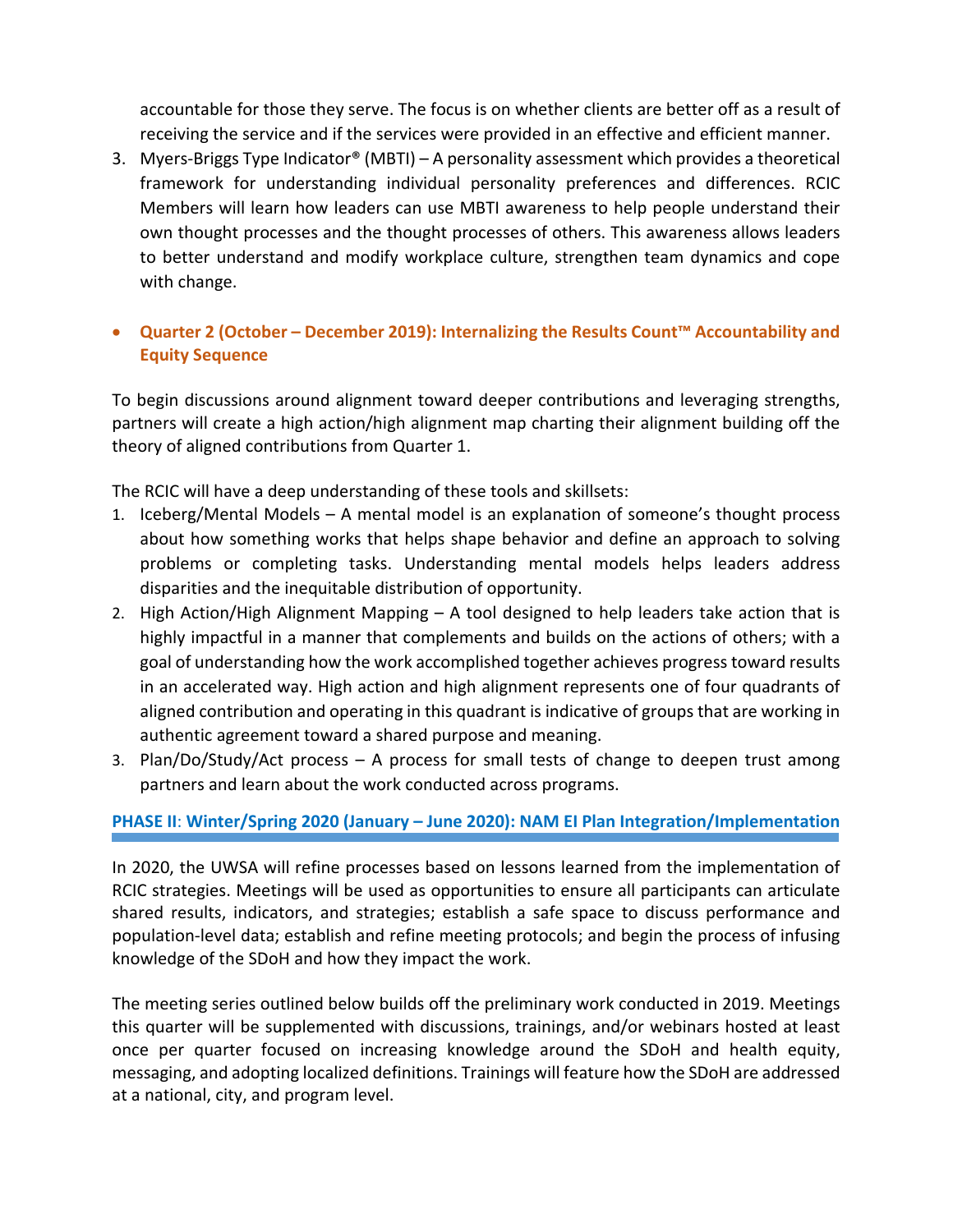accountable for those they serve. The focus is on whether clients are better off as a result of receiving the service and if the services were provided in an effective and efficient manner.

3. Myers-Briggs Type Indicator® (MBTI) – A personality assessment which provides a theoretical framework for understanding individual personality preferences and differences. RCIC Members will learn how leaders can use MBTI awareness to help people understand their own thought processes and the thought processes of others. This awareness allows leaders to better understand and modify workplace culture, strengthen team dynamics and cope with change.

# • **Quarter 2 (October – December 2019): Internalizing the Results Count™ Accountability and Equity Sequence**

To begin discussions around alignment toward deeper contributions and leveraging strengths, partners will create a high action/high alignment map charting their alignment building off the theory of aligned contributions from Quarter 1.

The RCIC will have a deep understanding of these tools and skillsets:

- 1. Iceberg/Mental Models A mental model is an explanation of someone's thought process about how something works that helps shape behavior and define an approach to solving problems or completing tasks. Understanding mental models helps leaders address disparities and the inequitable distribution of opportunity.
- 2. High Action/High Alignment Mapping A tool designed to help leaders take action that is highly impactful in a manner that complements and builds on the actions of others; with a goal of understanding how the work accomplished together achieves progress toward results in an accelerated way. High action and high alignment represents one of four quadrants of aligned contribution and operating in this quadrant is indicative of groups that are working in authentic agreement toward a shared purpose and meaning.
- 3. Plan/Do/Study/Act process A process for small tests of change to deepen trust among partners and learn about the work conducted across programs.

# **PHASE II**: **Winter/Spring 2020 (January – June 2020): NAM EI Plan Integration/Implementation**

In 2020, the UWSA will refine processes based on lessons learned from the implementation of RCIC strategies. Meetings will be used as opportunities to ensure all participants can articulate shared results, indicators, and strategies; establish a safe space to discuss performance and population-level data; establish and refine meeting protocols; and begin the process of infusing knowledge of the SDoH and how they impact the work.

The meeting series outlined below builds off the preliminary work conducted in 2019. Meetings this quarter will be supplemented with discussions, trainings, and/or webinars hosted at least once per quarter focused on increasing knowledge around the SDoH and health equity, messaging, and adopting localized definitions. Trainings will feature how the SDoH are addressed at a national, city, and program level.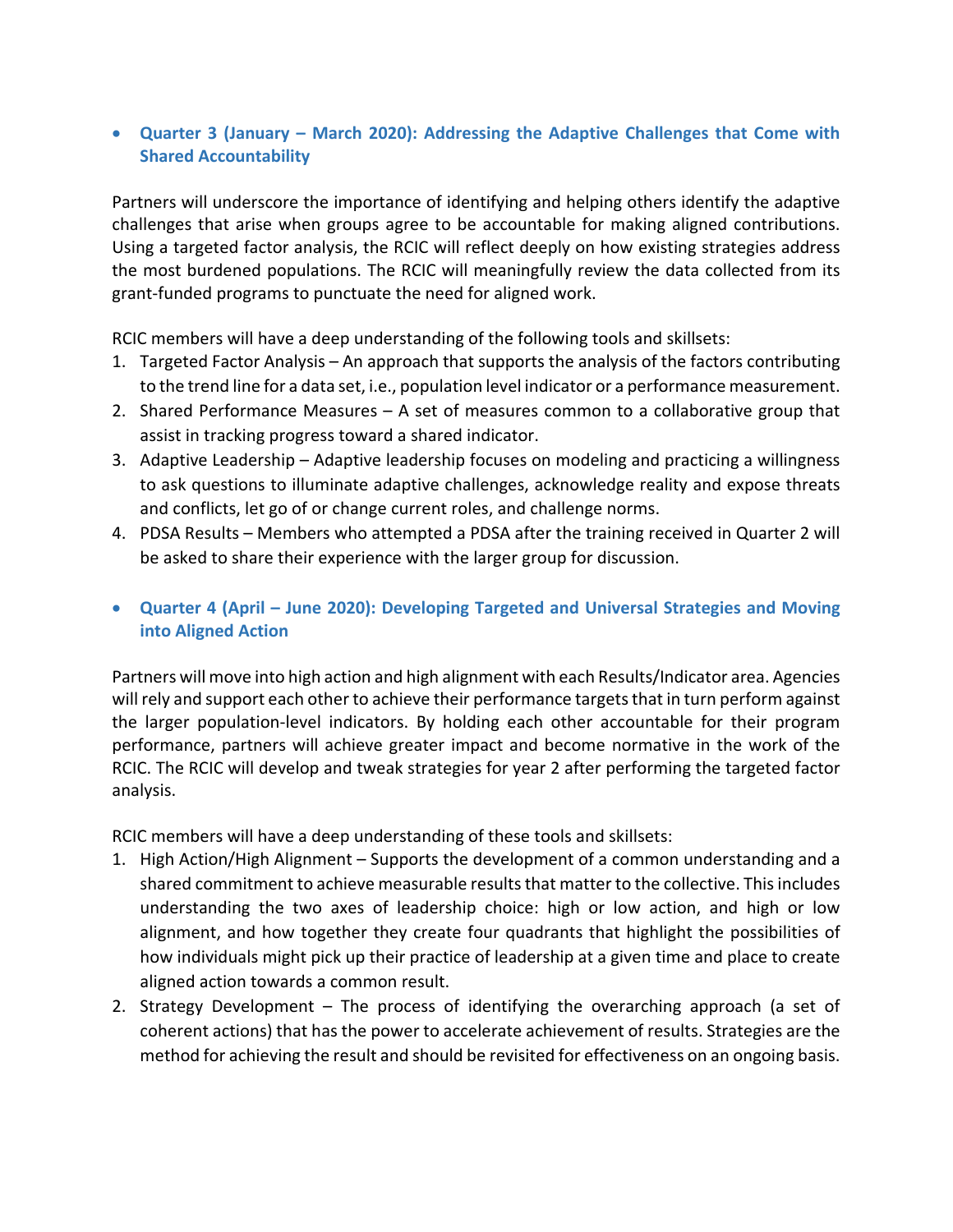## • **Quarter 3 (January – March 2020): Addressing the Adaptive Challenges that Come with Shared Accountability**

Partners will underscore the importance of identifying and helping others identify the adaptive challenges that arise when groups agree to be accountable for making aligned contributions. Using a targeted factor analysis, the RCIC will reflect deeply on how existing strategies address the most burdened populations. The RCIC will meaningfully review the data collected from its grant-funded programs to punctuate the need for aligned work.

RCIC members will have a deep understanding of the following tools and skillsets:

- 1. Targeted Factor Analysis An approach that supports the analysis of the factors contributing to the trend line for a data set, i.e., population level indicator or a performance measurement.
- 2. Shared Performance Measures A set of measures common to a collaborative group that assist in tracking progress toward a shared indicator.
- 3. Adaptive Leadership Adaptive leadership focuses on modeling and practicing a willingness to ask questions to illuminate adaptive challenges, acknowledge reality and expose threats and conflicts, let go of or change current roles, and challenge norms.
- 4. PDSA Results Members who attempted a PDSA after the training received in Quarter 2 will be asked to share their experience with the larger group for discussion.
- **Quarter 4 (April – June 2020): Developing Targeted and Universal Strategies and Moving into Aligned Action**

Partners will move into high action and high alignment with each Results/Indicator area. Agencies will rely and support each other to achieve their performance targets that in turn perform against the larger population-level indicators. By holding each other accountable for their program performance, partners will achieve greater impact and become normative in the work of the RCIC. The RCIC will develop and tweak strategies for year 2 after performing the targeted factor analysis.

RCIC members will have a deep understanding of these tools and skillsets:

- 1. High Action/High Alignment Supports the development of a common understanding and a shared commitment to achieve measurable results that matter to the collective. This includes understanding the two axes of leadership choice: high or low action, and high or low alignment, and how together they create four quadrants that highlight the possibilities of how individuals might pick up their practice of leadership at a given time and place to create aligned action towards a common result.
- 2. Strategy Development The process of identifying the overarching approach (a set of coherent actions) that has the power to accelerate achievement of results. Strategies are the method for achieving the result and should be revisited for effectiveness on an ongoing basis.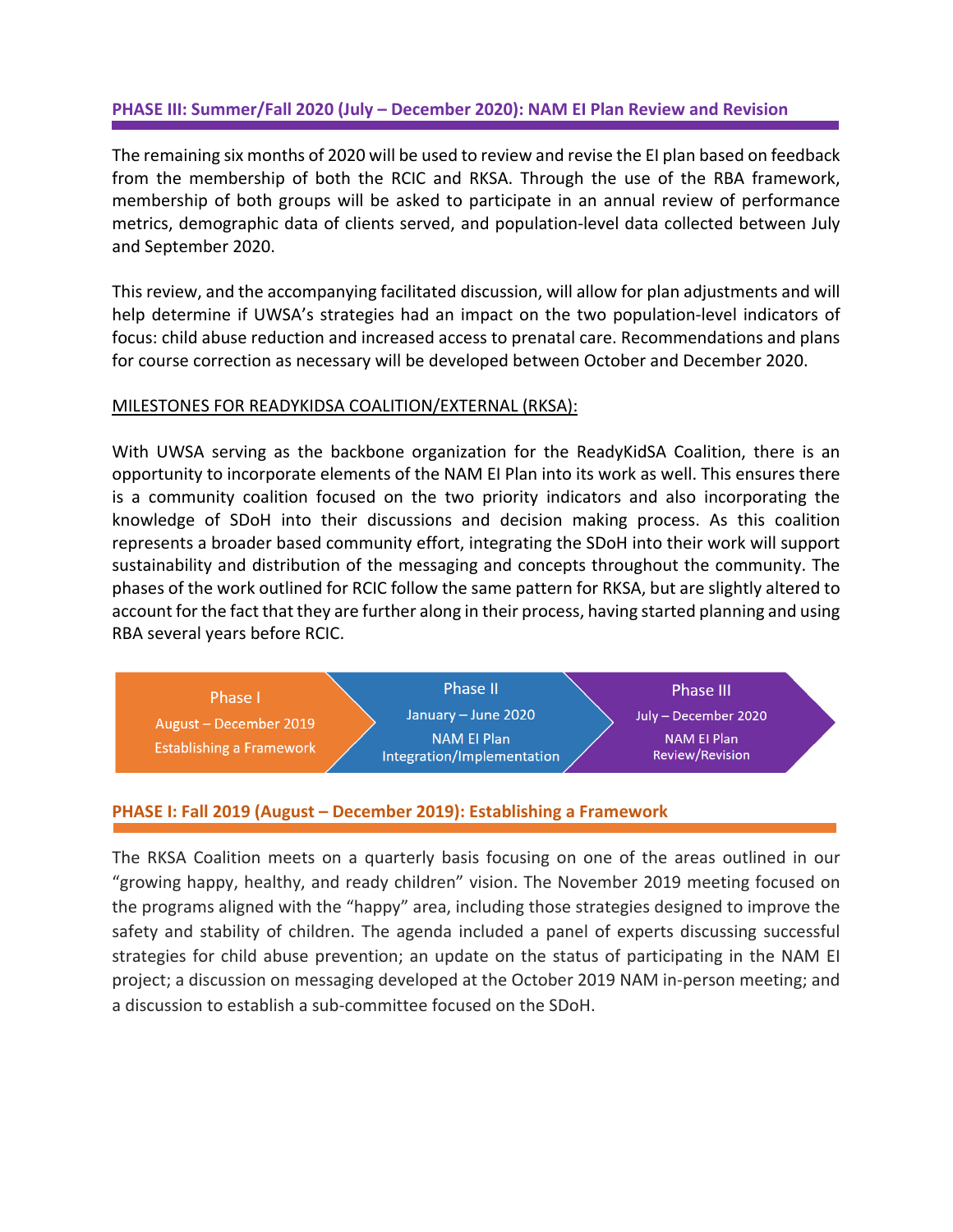## **PHASE III: Summer/Fall 2020 (July – December 2020): NAM EI Plan Review and Revision**

The remaining six months of 2020 will be used to review and revise the EI plan based on feedback from the membership of both the RCIC and RKSA. Through the use of the RBA framework, membership of both groups will be asked to participate in an annual review of performance metrics, demographic data of clients served, and population-level data collected between July and September 2020.

This review, and the accompanying facilitated discussion, will allow for plan adjustments and will help determine if UWSA's strategies had an impact on the two population-level indicators of focus: child abuse reduction and increased access to prenatal care. Recommendations and plans for course correction as necessary will be developed between October and December 2020.

#### MILESTONES FOR READYKIDSA COALITION/EXTERNAL (RKSA):

With UWSA serving as the backbone organization for the ReadyKidSA Coalition, there is an opportunity to incorporate elements of the NAM EI Plan into its work as well. This ensures there is a community coalition focused on the two priority indicators and also incorporating the knowledge of SDoH into their discussions and decision making process. As this coalition represents a broader based community effort, integrating the SDoH into their work will support sustainability and distribution of the messaging and concepts throughout the community. The phases of the work outlined for RCIC follow the same pattern for RKSA, but are slightly altered to account for the fact that they are further along in their process, having started planning and using RBA several years before RCIC.

| Phase I                                            | <b>Phase II</b>                           | <b>Phase III</b>                           |  |
|----------------------------------------------------|-------------------------------------------|--------------------------------------------|--|
| August – December 2019<br>Establishing a Framework | January - June 2020<br><b>NAM El Plan</b> | July - December 2020<br><b>NAM El Plan</b> |  |
|                                                    | Integration/Implementation                | <b>Review/Revision</b>                     |  |

#### **PHASE I: Fall 2019 (August – December 2019): Establishing a Framework**

The RKSA Coalition meets on a quarterly basis focusing on one of the areas outlined in our "growing happy, healthy, and ready children" vision. The November 2019 meeting focused on the programs aligned with the "happy" area, including those strategies designed to improve the safety and stability of children. The agenda included a panel of experts discussing successful strategies for child abuse prevention; an update on the status of participating in the NAM EI project; a discussion on messaging developed at the October 2019 NAM in-person meeting; and a discussion to establish a sub-committee focused on the SDoH.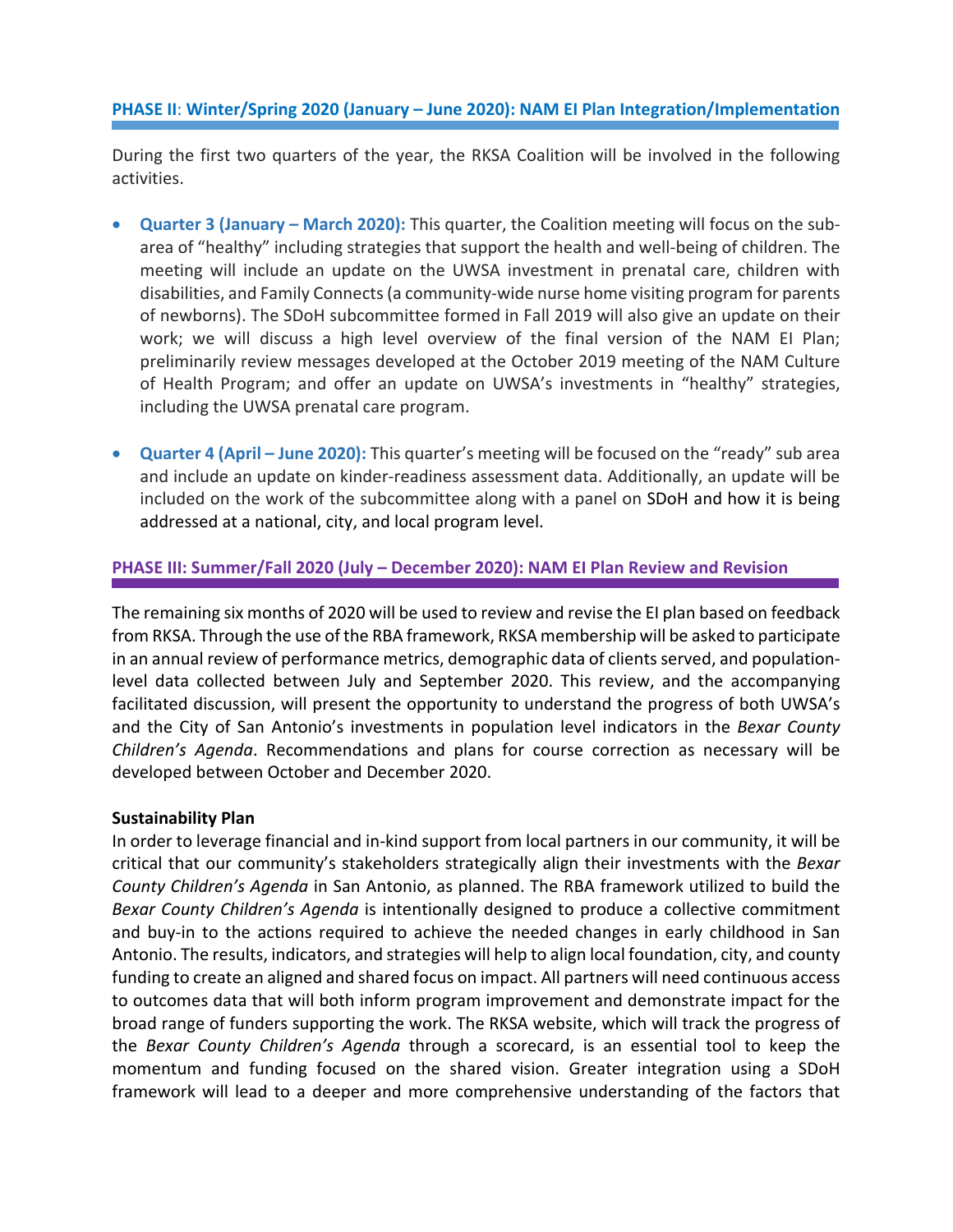## **PHASE II**: **Winter/Spring 2020 (January – June 2020): NAM EI Plan Integration/Implementation**

During the first two quarters of the year, the RKSA Coalition will be involved in the following activities.

- **Quarter 3 (January – March 2020):** This quarter, the Coalition meeting will focus on the subarea of "healthy" including strategies that support the health and well-being of children. The meeting will include an update on the UWSA investment in prenatal care, children with disabilities, and Family Connects(a community-wide nurse home visiting program for parents of newborns). The SDoH subcommittee formed in Fall 2019 will also give an update on their work; we will discuss a high level overview of the final version of the NAM EI Plan; preliminarily review messages developed at the October 2019 meeting of the NAM Culture of Health Program; and offer an update on UWSA's investments in "healthy" strategies, including the UWSA prenatal care program.
- **Quarter 4 (April – June 2020):** This quarter's meeting will be focused on the "ready" sub area and include an update on kinder-readiness assessment data. Additionally, an update will be included on the work of the subcommittee along with a panel on SDoH and how it is being addressed at a national, city, and local program level.

#### **PHASE III: Summer/Fall 2020 (July – December 2020): NAM EI Plan Review and Revision**

The remaining six months of 2020 will be used to review and revise the EI plan based on feedback from RKSA. Through the use of the RBA framework, RKSA membership will be asked to participate in an annual review of performance metrics, demographic data of clients served, and populationlevel data collected between July and September 2020. This review, and the accompanying facilitated discussion, will present the opportunity to understand the progress of both UWSA's and the City of San Antonio's investments in population level indicators in the *Bexar County Children's Agenda*. Recommendations and plans for course correction as necessary will be developed between October and December 2020.

#### **Sustainability Plan**

In order to leverage financial and in-kind support from local partners in our community, it will be critical that our community's stakeholders strategically align their investments with the *Bexar County Children's Agenda* in San Antonio, as planned. The RBA framework utilized to build the *Bexar County Children's Agenda* is intentionally designed to produce a collective commitment and buy-in to the actions required to achieve the needed changes in early childhood in San Antonio. The results, indicators, and strategies will help to align local foundation, city, and county funding to create an aligned and shared focus on impact. All partners will need continuous access to outcomes data that will both inform program improvement and demonstrate impact for the broad range of funders supporting the work. The RKSA website, which will track the progress of the *Bexar County Children's Agenda* through a scorecard, is an essential tool to keep the momentum and funding focused on the shared vision. Greater integration using a SDoH framework will lead to a deeper and more comprehensive understanding of the factors that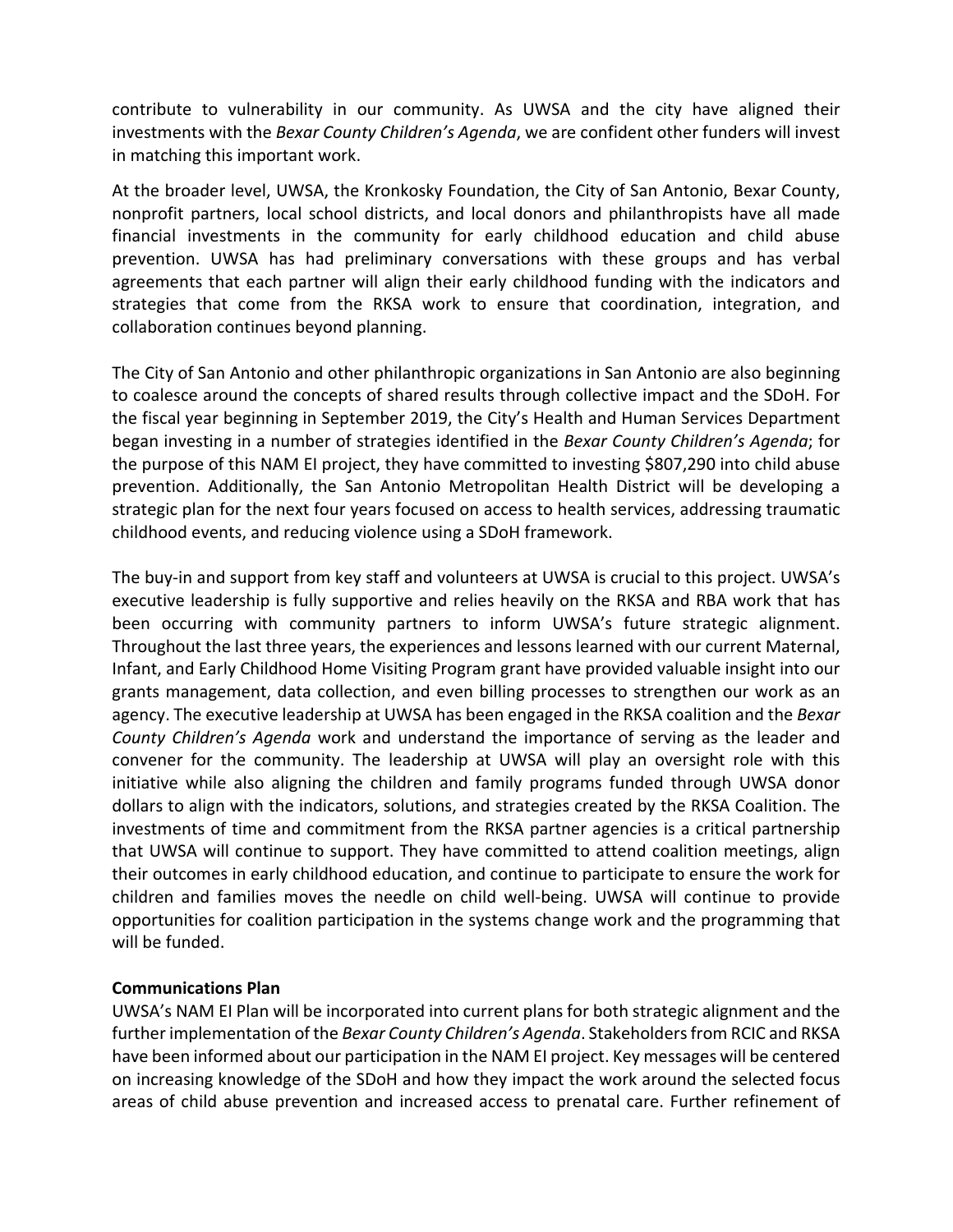contribute to vulnerability in our community. As UWSA and the city have aligned their investments with the *Bexar County Children's Agenda*, we are confident other funders will invest in matching this important work.

At the broader level, UWSA, the Kronkosky Foundation, the City of San Antonio, Bexar County, nonprofit partners, local school districts, and local donors and philanthropists have all made financial investments in the community for early childhood education and child abuse prevention. UWSA has had preliminary conversations with these groups and has verbal agreements that each partner will align their early childhood funding with the indicators and strategies that come from the RKSA work to ensure that coordination, integration, and collaboration continues beyond planning.

The City of San Antonio and other philanthropic organizations in San Antonio are also beginning to coalesce around the concepts of shared results through collective impact and the SDoH. For the fiscal year beginning in September 2019, the City's Health and Human Services Department began investing in a number of strategies identified in the *Bexar County Children's Agenda*; for the purpose of this NAM EI project, they have committed to investing \$807,290 into child abuse prevention. Additionally, the San Antonio Metropolitan Health District will be developing a strategic plan for the next four years focused on access to health services, addressing traumatic childhood events, and reducing violence using a SDoH framework.

The buy-in and support from key staff and volunteers at UWSA is crucial to this project. UWSA's executive leadership is fully supportive and relies heavily on the RKSA and RBA work that has been occurring with community partners to inform UWSA's future strategic alignment. Throughout the last three years, the experiences and lessons learned with our current Maternal, Infant, and Early Childhood Home Visiting Program grant have provided valuable insight into our grants management, data collection, and even billing processes to strengthen our work as an agency. The executive leadership at UWSA has been engaged in the RKSA coalition and the *Bexar County Children's Agenda* work and understand the importance of serving as the leader and convener for the community. The leadership at UWSA will play an oversight role with this initiative while also aligning the children and family programs funded through UWSA donor dollars to align with the indicators, solutions, and strategies created by the RKSA Coalition. The investments of time and commitment from the RKSA partner agencies is a critical partnership that UWSA will continue to support. They have committed to attend coalition meetings, align their outcomes in early childhood education, and continue to participate to ensure the work for children and families moves the needle on child well-being. UWSA will continue to provide opportunities for coalition participation in the systems change work and the programming that will be funded.

#### **Communications Plan**

UWSA's NAM EI Plan will be incorporated into current plans for both strategic alignment and the further implementation of the *Bexar County Children's Agenda*. Stakeholders from RCIC and RKSA have been informed about our participation in the NAM EI project. Key messages will be centered on increasing knowledge of the SDoH and how they impact the work around the selected focus areas of child abuse prevention and increased access to prenatal care. Further refinement of